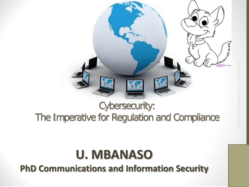

#### Cybersecurity: The Imperative for Regulation and Compliance

#### **U. MBANASO**

**PhD Communications and Information Security**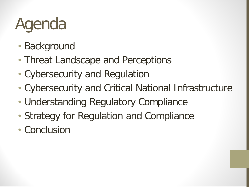# Agenda

- Background
- Threat Landscape and Perceptions
- Cybersecurity and Regulation
- Cybersecurity and Critical National Infrastructure
- Understanding Regulatory Compliance
- Strategy for Regulation and Compliance
- Conclusion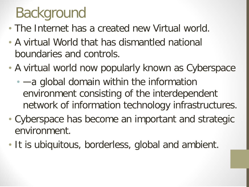## Background

- The Internet has a created new Virtual world.
- A virtual World that has dismantled national boundaries and controls.
- A virtual world now popularly known as Cyberspace
	- — a global domain within the information environment consisting of the interdependent network of information technology infrastructures.
- Cyberspace has become an important and strategic environment.
- It is ubiquitous, borderless, global and ambient.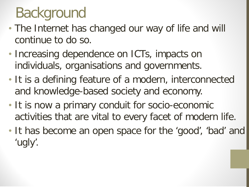## Background

- The Internet has changed our way of life and will continue to do so.
- Increasing dependence on ICTs, impacts on individuals, organisations and governments.
- It is a defining feature of a modern, interconnected and knowledge-based society and economy.
- It is now a primary conduit for socio-economic activities that are vital to every facet of modern life.
- It has become an open space for the 'good', 'bad' and 'ugly'.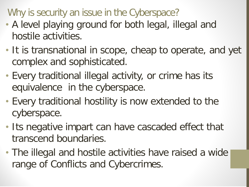Why is security an issue in the Cyberspace?

- A level playing ground for both legal, illegal and hostile activities.
- It is transnational in scope, cheap to operate, and yet complex and sophisticated.
- Every traditional illegal activity, or crime has its equivalence in the cyberspace.
- Every traditional hostility is now extended to the cyberspace.
- Its negative impart can have cascaded effect that transcend boundaries.
- The illegal and hostile activities have raised a wide range of Conflicts and Cybercrimes.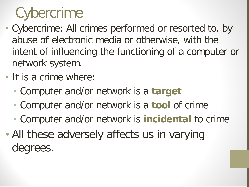## **Cybercrime**

- Cybercrime: All crimes performed or resorted to, by abuse of electronic media or otherwise, with the intent of influencing the functioning of a computer or network system.
- It is a crime where:
	- Computer and/or network is a **target**
	- Computer and/or network is a **tool** of crime
	- Computer and/or network is **incidental** to crime
- All these adversely affects us in varying degrees.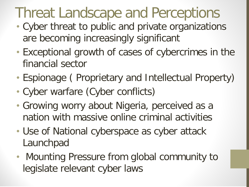### Threat Landscape and Perceptions

- Cyber threat to public and private organizations are becoming increasingly significant
- Exceptional growth of cases of cybercrimes in the financial sector
- Espionage ( Proprietary and Intellectual Property)
- Cyber warfare (Cyber conflicts)
- Growing worry about Nigeria, perceived as a nation with massive online criminal activities
- Use of National cyberspace as cyber attack Launchpad
- Mounting Pressure from global community to legislate relevant cyber laws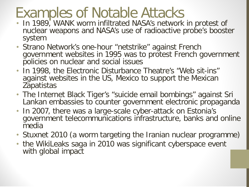#### Examples of Notable Attacks

- In 1989, WANK worm infiltrated NASA's network in protest of nuclear weapons and NASA's use of radioactive probe's booster system
- Strano Network's one-hour "netstrike" against French government websites in 1995 was to protest French government policies on nuclear and social issues
- In 1998, the Electronic Disturbance Theatre's "Web sit-ins" against websites in the US, Mexico to support the Mexican **Zapatistas**
- The Internet Black Tiger's "suicide email bombings" against Sri Lankan embassies to counter government electronic propaganda
- In 2007, there was a large-scale cyber-attack on Estonia's government telecommunications infrastructure, banks and online media
- Stuxnet 2010 (a worm targeting the Iranian nuclear programme)
- the WikiLeaks saga in 2010 was significant cyberspace event with global impact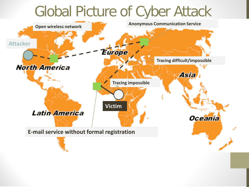#### Global Picture of Cyber Attack

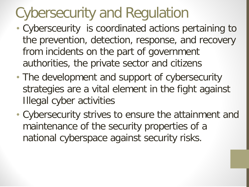## Cybersecurity and Regulation

- Cybersceurity is coordinated actions pertaining to the prevention, detection, response, and recovery from incidents on the part of government authorities, the private sector and citizens
- The development and support of cybersecurity strategies are a vital element in the fight against Illegal cyber activities
- Cybersecurity strives to ensure the attainment and maintenance of the security properties of a national cyberspace against security risks.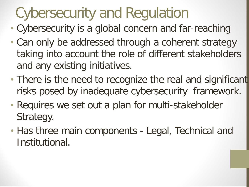## Cybersecurity and Regulation

- Cybersecurity is a global concern and far-reaching
- Can only be addressed through a coherent strategy taking into account the role of different stakeholders and any existing initiatives.
- There is the need to recognize the real and significant risks posed by inadequate cybersecurity framework.
- Requires we set out a plan for multi-stakeholder Strategy.
- Has three main components Legal, Technical and Institutional.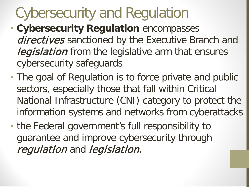## Cybersecurity and Regulation

- **Cybersecurity Regulation** encompasses directives sanctioned by the Executive Branch and **legislation** from the legislative arm that ensures cybersecurity safeguards
- The goal of Regulation is to force private and public sectors, especially those that fall within Critical National Infrastructure (CNI) category to protect the information systems and networks from cyberattacks
- the Federal government's full responsibility to guarantee and improve cybersecurity through requiation and legislation.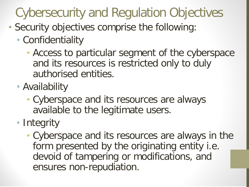#### Cybersecurity and Regulation Objectives

- Security objectives comprise the following:
	- Confidentiality
		- Access to particular segment of the cyberspace and its resources is restricted only to duly authorised entities.
	- Availability
		- Cyberspace and its resources are always available to the legitimate users.
	- Integrity
		- Cyberspace and its resources are always in the form presented by the originating entity i.e. devoid of tampering or modifications, and ensures non-repudiation.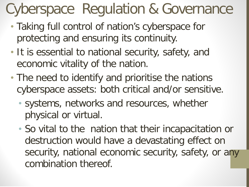## Cyberspace Regulation & Governance

- Taking full control of nation's cyberspace for protecting and ensuring its continuity.
- It is essential to national security, safety, and economic vitality of the nation.
- The need to identify and prioritise the nations cyberspace assets: both critical and/or sensitive.
	- systems, networks and resources, whether physical or virtual.
	- So vital to the nation that their incapacitation or destruction would have a devastating effect on security, national economic security, safety, or any combination thereof.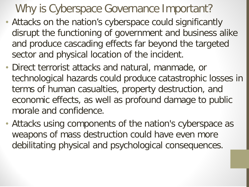#### Why is Cyberspace Governance Important?

- Attacks on the nation's cyberspace could significantly disrupt the functioning of government and business alike and produce cascading effects far beyond the targeted sector and physical location of the incident.
- Direct terrorist attacks and natural, manmade, or technological hazards could produce catastrophic losses in terms of human casualties, property destruction, and economic effects, as well as profound damage to public morale and confidence.
- Attacks using components of the nation's cyberspace as weapons of mass destruction could have even more debilitating physical and psychological consequences.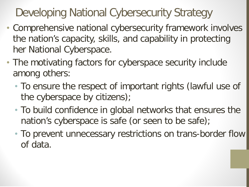Developing National Cybersecurity Strategy

- Comprehensive national cybersecurity framework involves the nation's capacity, skills, and capability in protecting her National Cyberspace.
- The motivating factors for cyberspace security include among others:
	- To ensure the respect of important rights (lawful use of the cyberspace by citizens);
	- To build confidence in global networks that ensures the nation's cyberspace is safe (or seen to be safe);
	- To prevent unnecessary restrictions on trans-border flow of data.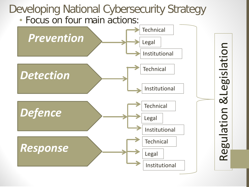#### Developing National Cybersecurity Strategy

• Focus on four main actions:

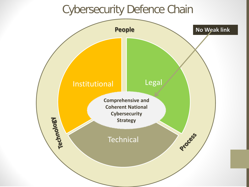#### Cybersecurity Defence Chain

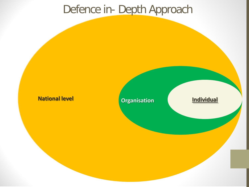#### Defence in- Depth Approach

#### **National level Construction Individual**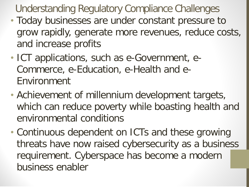Understanding Regulatory Compliance Challenges

- Today businesses are under constant pressure to grow rapidly, generate more revenues, reduce costs, and increase profits
- ICT applications, such as e-Government, e-Commerce, e-Education, e-Health and e-Environment
- Achievement of millennium development targets, which can reduce poverty while boasting health and environmental conditions
- Continuous dependent on ICTs and these growing threats have now raised cybersecurity as a business requirement. Cyberspace has become a modern business enabler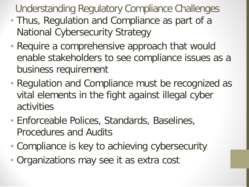Understanding Regulatory Compliance Challenges

- Thus, Regulation and Compliance as part of a National Cybersecurity Strategy
- Require a comprehensive approach that would enable stakeholders to see compliance issues as a business requirement
- Regulation and Compliance must be recognized as vital elements in the fight against illegal cyber activities
- Enforceable Polices, Standards, Baselines, Procedures and Audits
- Compliance is key to achieving cybersecurity
- Organizations may see it as extra cost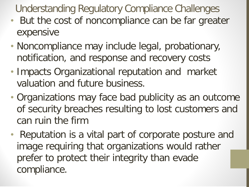Understanding Regulatory Compliance Challenges

- But the cost of noncompliance can be far greater expensive
- Noncompliance may include legal, probationary, notification, and response and recovery costs
- Impacts Organizational reputation and market valuation and future business.
- Organizations may face bad publicity as an outcome of security breaches resulting to lost customers and can ruin the firm
- Reputation is a vital part of corporate posture and image requiring that organizations would rather prefer to protect their integrity than evade compliance.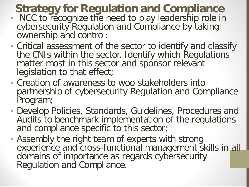#### **Strategy for Regulation and Compliance**

- NCC to recognize the need to play leadership role in cybersecurity Regulation and Compliance by taking ownership and control;
- Critical assessment of the sector to identify and classify the CNIs within the sector. Identify which Regulations matter most in this sector and sponsor relevant legislation to that effect;
- Creation of awareness to woo stakeholders into partnership of cybersecurity Regulation and Compliance Program;
- Develop Policies, Standards, Guidelines, Procedures and Audits to benchmark implementation of the regulations and compliance specific to this sector;
- Assembly the right team of experts with strong experience and cross-functional management skills in all domains of importance as regards cybersecurity Regulation and Compliance.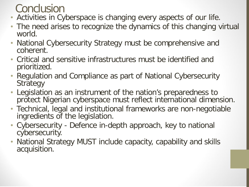#### **Conclusion**

- Activities in Cyberspace is changing every aspects of our life.
- The need arises to recognize the dynamics of this changing virtual world.
- National Cybersecurity Strategy must be comprehensive and coherent.
- Critical and sensitive infrastructures must be identified and prioritized.
- Regulation and Compliance as part of National Cybersecurity **Strategy**
- Legislation as an instrument of the nation's preparedness to protect Nigerian cyberspace must reflect international dimension.
- Technical, legal and institutional frameworks are non-negotiable ingredients of the legislation.
- Cybersecurity Defence in-depth approach, key to national cybersecurity.
- National Strategy MUST include capacity, capability and skills acquisition.